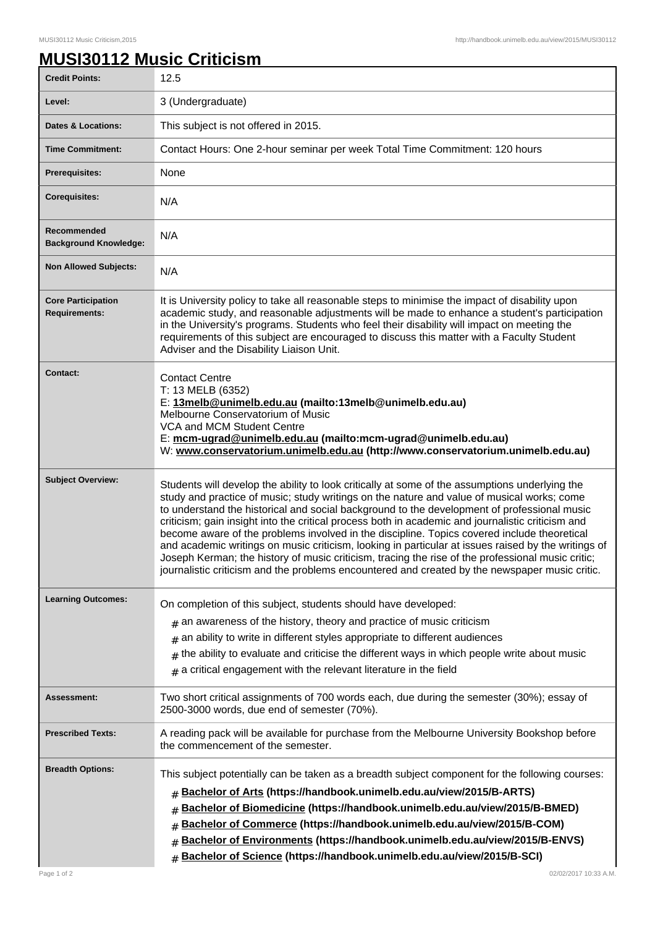## **MUSI30112 Music Criticism**

| <b>Credit Points:</b>                             | 12.5                                                                                                                                                                                                                                                                                                                                                                                                                                                                                                                                                                                                                                                                                                                                                                                                          |
|---------------------------------------------------|---------------------------------------------------------------------------------------------------------------------------------------------------------------------------------------------------------------------------------------------------------------------------------------------------------------------------------------------------------------------------------------------------------------------------------------------------------------------------------------------------------------------------------------------------------------------------------------------------------------------------------------------------------------------------------------------------------------------------------------------------------------------------------------------------------------|
| Level:                                            | 3 (Undergraduate)                                                                                                                                                                                                                                                                                                                                                                                                                                                                                                                                                                                                                                                                                                                                                                                             |
| <b>Dates &amp; Locations:</b>                     | This subject is not offered in 2015.                                                                                                                                                                                                                                                                                                                                                                                                                                                                                                                                                                                                                                                                                                                                                                          |
| <b>Time Commitment:</b>                           | Contact Hours: One 2-hour seminar per week Total Time Commitment: 120 hours                                                                                                                                                                                                                                                                                                                                                                                                                                                                                                                                                                                                                                                                                                                                   |
| <b>Prerequisites:</b>                             | None                                                                                                                                                                                                                                                                                                                                                                                                                                                                                                                                                                                                                                                                                                                                                                                                          |
| <b>Corequisites:</b>                              | N/A                                                                                                                                                                                                                                                                                                                                                                                                                                                                                                                                                                                                                                                                                                                                                                                                           |
| Recommended<br><b>Background Knowledge:</b>       | N/A                                                                                                                                                                                                                                                                                                                                                                                                                                                                                                                                                                                                                                                                                                                                                                                                           |
| <b>Non Allowed Subjects:</b>                      | N/A                                                                                                                                                                                                                                                                                                                                                                                                                                                                                                                                                                                                                                                                                                                                                                                                           |
| <b>Core Participation</b><br><b>Requirements:</b> | It is University policy to take all reasonable steps to minimise the impact of disability upon<br>academic study, and reasonable adjustments will be made to enhance a student's participation<br>in the University's programs. Students who feel their disability will impact on meeting the<br>requirements of this subject are encouraged to discuss this matter with a Faculty Student<br>Adviser and the Disability Liaison Unit.                                                                                                                                                                                                                                                                                                                                                                        |
| <b>Contact:</b>                                   | <b>Contact Centre</b><br>T: 13 MELB (6352)<br>E: 13melb@unimelb.edu.au (mailto:13melb@unimelb.edu.au)<br>Melbourne Conservatorium of Music<br>VCA and MCM Student Centre<br>E: mcm-ugrad@unimelb.edu.au (mailto:mcm-ugrad@unimelb.edu.au)<br>W: www.conservatorium.unimelb.edu.au (http://www.conservatorium.unimelb.edu.au)                                                                                                                                                                                                                                                                                                                                                                                                                                                                                  |
| <b>Subject Overview:</b>                          | Students will develop the ability to look critically at some of the assumptions underlying the<br>study and practice of music; study writings on the nature and value of musical works; come<br>to understand the historical and social background to the development of professional music<br>criticism; gain insight into the critical process both in academic and journalistic criticism and<br>become aware of the problems involved in the discipline. Topics covered include theoretical<br>and academic writings on music criticism, looking in particular at issues raised by the writings of<br>Joseph Kerman; the history of music criticism, tracing the rise of the professional music critic;<br>journalistic criticism and the problems encountered and created by the newspaper music critic. |
| <b>Learning Outcomes:</b>                         | On completion of this subject, students should have developed:<br>$#$ an awareness of the history, theory and practice of music criticism<br>an ability to write in different styles appropriate to different audiences<br>#<br>the ability to evaluate and criticise the different ways in which people write about music<br>#<br>a critical engagement with the relevant literature in the field<br>#                                                                                                                                                                                                                                                                                                                                                                                                       |
| Assessment:                                       | Two short critical assignments of 700 words each, due during the semester (30%); essay of<br>2500-3000 words, due end of semester (70%).                                                                                                                                                                                                                                                                                                                                                                                                                                                                                                                                                                                                                                                                      |
| <b>Prescribed Texts:</b>                          | A reading pack will be available for purchase from the Melbourne University Bookshop before<br>the commencement of the semester.                                                                                                                                                                                                                                                                                                                                                                                                                                                                                                                                                                                                                                                                              |
| <b>Breadth Options:</b><br>Page 1 of 2            | This subject potentially can be taken as a breadth subject component for the following courses:<br>Bachelor of Arts (https://handbook.unimelb.edu.au/view/2015/B-ARTS)<br>$\#$<br>Bachelor of Biomedicine (https://handbook.unimelb.edu.au/view/2015/B-BMED)<br>#<br>Bachelor of Commerce (https://handbook.unimelb.edu.au/view/2015/B-COM)<br>#<br>Bachelor of Environments (https://handbook.unimelb.edu.au/view/2015/B-ENVS)<br>#<br>Bachelor of Science (https://handbook.unimelb.edu.au/view/2015/B-SCI)<br>#<br>02/02/2017 10:33 A.M.                                                                                                                                                                                                                                                                   |